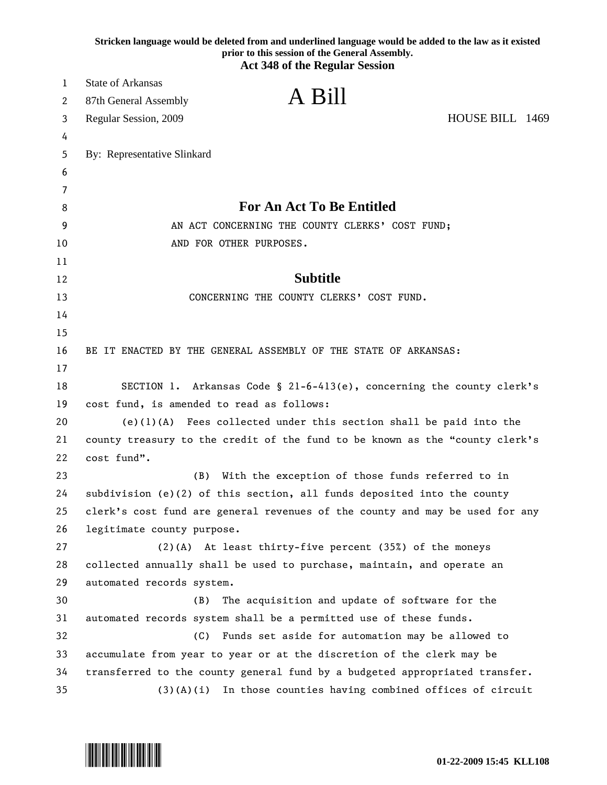|    | Stricken language would be deleted from and underlined language would be added to the law as it existed<br>prior to this session of the General Assembly.<br><b>Act 348 of the Regular Session</b> |
|----|----------------------------------------------------------------------------------------------------------------------------------------------------------------------------------------------------|
| 1  | <b>State of Arkansas</b>                                                                                                                                                                           |
| 2  | A Bill<br>87th General Assembly                                                                                                                                                                    |
| 3  | HOUSE BILL 1469<br>Regular Session, 2009                                                                                                                                                           |
| 4  |                                                                                                                                                                                                    |
| 5  | By: Representative Slinkard                                                                                                                                                                        |
| 6  |                                                                                                                                                                                                    |
| 7  |                                                                                                                                                                                                    |
| 8  | <b>For An Act To Be Entitled</b>                                                                                                                                                                   |
| 9  | AN ACT CONCERNING THE COUNTY CLERKS' COST FUND;                                                                                                                                                    |
| 10 | AND FOR OTHER PURPOSES.                                                                                                                                                                            |
| 11 |                                                                                                                                                                                                    |
| 12 | <b>Subtitle</b>                                                                                                                                                                                    |
| 13 | CONCERNING THE COUNTY CLERKS' COST FUND.                                                                                                                                                           |
| 14 |                                                                                                                                                                                                    |
| 15 |                                                                                                                                                                                                    |
| 16 | BE IT ENACTED BY THE GENERAL ASSEMBLY OF THE STATE OF ARKANSAS:                                                                                                                                    |
| 17 |                                                                                                                                                                                                    |
| 18 | SECTION 1. Arkansas Code § 21-6-413(e), concerning the county clerk's                                                                                                                              |
| 19 | cost fund, is amended to read as follows:                                                                                                                                                          |
| 20 | $(e)(1)(A)$ Fees collected under this section shall be paid into the                                                                                                                               |
| 21 | county treasury to the credit of the fund to be known as the "county clerk's                                                                                                                       |
| 22 | cost fund".                                                                                                                                                                                        |
| 23 | With the exception of those funds referred to in<br>(B)                                                                                                                                            |
| 24 | subdivision (e)(2) of this section, all funds deposited into the county                                                                                                                            |
| 25 | clerk's cost fund are general revenues of the county and may be used for any                                                                                                                       |
| 26 | legitimate county purpose.                                                                                                                                                                         |
| 27 | $(2)(A)$ At least thirty-five percent (35%) of the moneys                                                                                                                                          |
| 28 | collected annually shall be used to purchase, maintain, and operate an                                                                                                                             |
| 29 | automated records system.                                                                                                                                                                          |
| 30 | (B)<br>The acquisition and update of software for the                                                                                                                                              |
| 31 | automated records system shall be a permitted use of these funds.                                                                                                                                  |
| 32 | Funds set aside for automation may be allowed to<br>(C)                                                                                                                                            |
| 33 | accumulate from year to year or at the discretion of the clerk may be                                                                                                                              |
| 34 | transferred to the county general fund by a budgeted appropriated transfer.                                                                                                                        |
| 35 | In those counties having combined offices of circuit<br>(3)(A)(i)                                                                                                                                  |